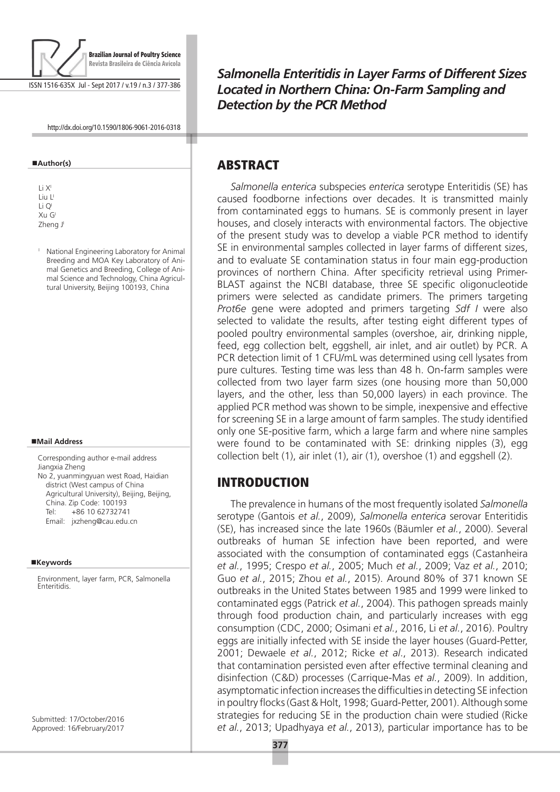

ISSN 1516-635X Jul - Sept 2017 / v.19 / n.3 / 377-386

http://dx.doi.org/10.1590/1806-9061-2016-0318

#### **Author(s)**

Li XI Liu L' Li QI Xu GI Zheng J

<sup>1</sup> National Engineering Laboratory for Animal Breeding and MOA Key Laboratory of Animal Genetics and Breeding, College of Animal Science and Technology, China Agricultural University, Beijing 100193, China

#### **Mail Address**

Corresponding author e-mail address Jiangxia Zheng No 2, yuanmingyuan west Road, Haidian district (West campus of China Agricultural University), Beijing, Beijing, China. Zip Code: 100193 Tel: +86 10 62732741 Email: jxzheng@cau.edu.cn

#### **Keywords**

Environment, layer farm, PCR, Salmonella **Enteritidis** 

Submitted: 17/October/2016 Approved: 16/February/2017 *Salmonella Enteritidis in Layer Farms of Different Sizes Located in Northern China: On-Farm Sampling and Detection by the PCR Method*

## **ABSTRACT**

*Salmonella enterica* subspecies *enterica* serotype Enteritidis (SE) has caused foodborne infections over decades. It is transmitted mainly from contaminated eggs to humans. SE is commonly present in layer houses, and closely interacts with environmental factors. The objective of the present study was to develop a viable PCR method to identify SE in environmental samples collected in layer farms of different sizes, and to evaluate SE contamination status in four main egg-production provinces of northern China. After specificity retrieval using Primer-BLAST against the NCBI database, three SE specific oligonucleotide primers were selected as candidate primers. The primers targeting *Prot6e* gene were adopted and primers targeting *Sdf I* were also selected to validate the results, after testing eight different types of pooled poultry environmental samples (overshoe, air, drinking nipple, feed, egg collection belt, eggshell, air inlet, and air outlet) by PCR. A PCR detection limit of 1 CFU/mL was determined using cell lysates from pure cultures. Testing time was less than 48 h. On-farm samples were collected from two layer farm sizes (one housing more than 50,000 layers, and the other, less than 50,000 layers) in each province. The applied PCR method was shown to be simple, inexpensive and effective for screening SE in a large amount of farm samples. The study identified only one SE-positive farm, which a large farm and where nine samples were found to be contaminated with SE: drinking nipples (3), egg collection belt (1), air inlet (1), air (1), overshoe (1) and eggshell (2).

# Introduction

The prevalence in humans of the most frequently isolated *Salmonella*  serotype (Gantois *et al.*, 2009), *Salmonella enterica* serovar Enteritidis (SE), has increased since the late 1960s (Bäumler *et al.*, 2000). Several outbreaks of human SE infection have been reported, and were associated with the consumption of contaminated eggs (Castanheira *et al.*, 1995; Crespo *et al.*, 2005; Much *et al.*, 2009; Vaz *et al.*, 2010; Guo *et al.*, 2015; Zhou *et al.*, 2015). Around 80% of 371 known SE outbreaks in the United States between 1985 and 1999 were linked to contaminated eggs (Patrick *et al.*, 2004). This pathogen spreads mainly through food production chain, and particularly increases with egg consumption (CDC, 2000; Osimani *et al.*, 2016, Li *et al.*, 2016). Poultry eggs are initially infected with SE inside the layer houses (Guard-Petter, 2001; Dewaele *et al.*, 2012; Ricke *et al*., 2013). Research indicated that contamination persisted even after effective terminal cleaning and disinfection (C&D) processes (Carrique-Mas *et al.*, 2009). In addition, asymptomatic infection increases the difficulties in detecting SE infection in poultry flocks (Gast & Holt, 1998; Guard-Petter, 2001). Although some strategies for reducing SE in the production chain were studied (Ricke *et al.*, 2013; Upadhyaya *et al.*, 2013), particular importance has to be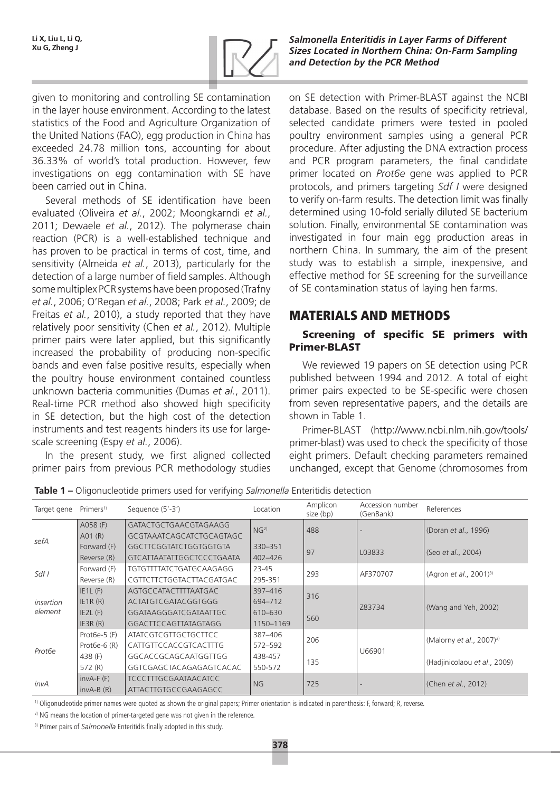

*Salmonella Enteritidis in Layer Farms of Different Sizes Located in Northern China: On-Farm Sampling and Detection by the PCR Method*

given to monitoring and controlling SE contamination in the layer house environment. According to the latest statistics of the Food and Agriculture Organization of the United Nations (FAO), egg production in China has exceeded 24.78 million tons, accounting for about 36.33% of world's total production. However, few investigations on egg contamination with SE have been carried out in China.

Several methods of SE identification have been evaluated (Oliveira *et al.*, 2002; Moongkarndi *et al.*, 2011; Dewaele *et al.*, 2012). The polymerase chain reaction (PCR) is a well-established technique and has proven to be practical in terms of cost, time, and sensitivity (Almeida *et al.*, 2013), particularly for the detection of a large number of field samples. Although some multiplex PCR systems have been proposed (Trafny *et al.*, 2006; O'Regan *et al.*, 2008; Park *et al.*, 2009; de Freitas *et al.*, 2010), a study reported that they have relatively poor sensitivity (Chen *et al.*, 2012). Multiple primer pairs were later applied, but this significantly increased the probability of producing non-specific bands and even false positive results, especially when the poultry house environment contained countless unknown bacteria communities (Dumas *et al.*, 2011). Real-time PCR method also showed high specificity in SE detection, but the high cost of the detection instruments and test reagents hinders its use for largescale screening (Espy *et al.*, 2006).

In the present study, we first aligned collected primer pairs from previous PCR methodology studies on SE detection with Primer-BLAST against the NCBI database. Based on the results of specificity retrieval, selected candidate primers were tested in pooled poultry environment samples using a general PCR procedure. After adjusting the DNA extraction process and PCR program parameters, the final candidate primer located on *Prot6e* gene was applied to PCR protocols, and primers targeting *Sdf I* were designed to verify on-farm results. The detection limit was finally determined using 10-fold serially diluted SE bacterium solution. Finally, environmental SE contamination was investigated in four main egg production areas in northern China. In summary, the aim of the present study was to establish a simple, inexpensive, and effective method for SE screening for the surveillance of SE contamination status of laying hen farms.

# Materials and methods

## Screening of specific SE primers with Primer-BLAST

We reviewed 19 papers on SE detection using PCR published between 1994 and 2012. A total of eight primer pairs expected to be SE-specific were chosen from seven representative papers, and the details are shown in Table 1.

Primer-BLAST (http://www.ncbi.nlm.nih.gov/tools/ primer-blast) was used to check the specificity of those eight primers. Default checking parameters remained unchanged, except that Genome (chromosomes from

| Target gene          | Primers <sup>1)</sup> | Sequence (5'-3')               | Location        | Amplicon<br>size (bp) | Accession number<br>(GenBank) | References                           |  |
|----------------------|-----------------------|--------------------------------|-----------------|-----------------------|-------------------------------|--------------------------------------|--|
| sefA                 | A058 (F)              | GATACTGCTGAACGTAGAAGG          | NG <sup>2</sup> | 488                   |                               | (Doran et al., 1996)                 |  |
|                      | A01(R)                | GCGTAAATCAGCATCTGCAGTAGC       |                 |                       |                               |                                      |  |
|                      | Forward (F)           | GGCTTCGGTATCTGGTGGTGTA         | 330-351         | 97                    | L03833                        | (Seo et al., 2004)                   |  |
|                      | Reverse (R)           | GTCATTAATATTGGCTCCCTGAATA      | 402-426         |                       |                               |                                      |  |
| Sdf/                 | Forward (F)           | <b>TGTGTTTTATCTGATGCAAGAGG</b> | 23-45           | 293                   | AF370707                      | (Agron et al., 2001) <sup>3)</sup>   |  |
|                      | Reverse (R)           | CGTTCTTCTGGTACTTACGATGAC       | 295-351         |                       |                               |                                      |  |
| insertion<br>element | $IE1L$ (F)            | AGTGCCATACTTTTAATGAC           | 397-416         | 316                   | Z83734                        | (Wang and Yeh, 2002)                 |  |
|                      | IE1R(R)               | ACTATGTCGATACGGTGGG            | 694-712         |                       |                               |                                      |  |
|                      | $IE2L$ (F)            | GGATAAGGGATCGATAATTGC          | 610-630         | 560                   |                               |                                      |  |
|                      | IE3R(R)               | GGACTTCCAGTTATAGTAGG           | 1150-1169       |                       |                               |                                      |  |
| Prot <sub>6e</sub>   | Prot $6e-5$ (F)       | <b>ATATCGTCGTTGCTGCTTCC</b>    | 387-406         | 206                   |                               | (Malorny et al., 2007) <sup>3)</sup> |  |
|                      | Prot $6e-6(R)$        | CATTGTTCCACCGTCACTTTG          | 572-592         |                       | U66901                        |                                      |  |
|                      | 438 (F)               | GGCACCGCAGCAATGGTTGG           | 438-457         | 135                   |                               | (Hadjinicolaou et al., 2009)         |  |
|                      | 572 (R)               | GGTCGAGCTACAGAGAGTCACAC        | 550-572         |                       |                               |                                      |  |
| invA                 | $invA-F(F)$           | <b>TCCCTTTGCGAATAACATCC</b>    | <b>NG</b>       | 725                   |                               | (Chen et al., 2012)                  |  |
|                      | $invA-B(R)$           | ATTACTTGTGCCGAAGAGCC           |                 |                       |                               |                                      |  |

**Table 1 –** Oligonucleotide primers used for verifying *Salmonella* Enteritidis detection

<sup>1)</sup> Oligonucleotide primer names were quoted as shown the original papers; Primer orientation is indicated in parenthesis: F, forward; R, reverse.

<sup>2)</sup> NG means the location of primer-targeted gene was not given in the reference.

<sup>3)</sup> Primer pairs of *Salmonella* Enteritidis finally adopted in this study.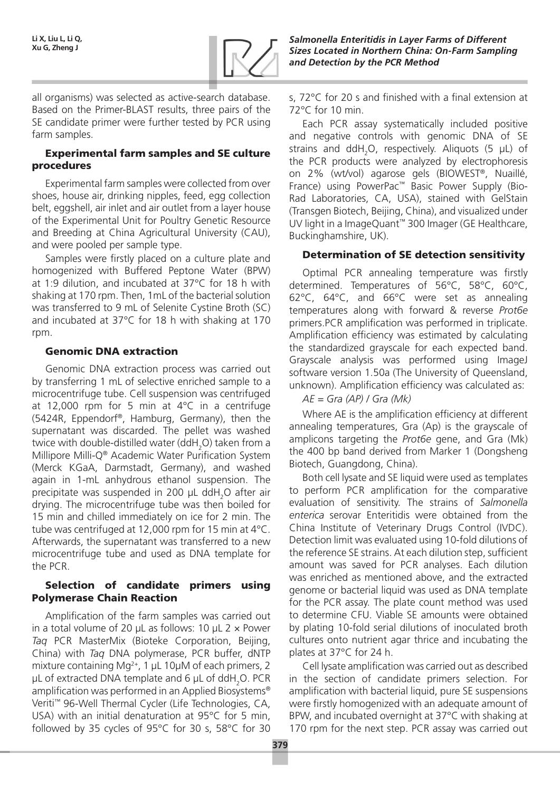

all organisms) was selected as active-search database. Based on the Primer-BLAST results, three pairs of the SE candidate primer were further tested by PCR using farm samples.

### Experimental farm samples and SE culture procedures

Experimental farm samples were collected from over shoes, house air, drinking nipples, feed, egg collection belt, eggshell, air inlet and air outlet from a layer house of the Experimental Unit for Poultry Genetic Resource and Breeding at China Agricultural University (CAU), and were pooled per sample type.

Samples were firstly placed on a culture plate and homogenized with Buffered Peptone Water (BPW) at 1:9 dilution, and incubated at 37°C for 18 h with shaking at 170 rpm. Then, 1mL of the bacterial solution was transferred to 9 mL of Selenite Cystine Broth (SC) and incubated at 37°C for 18 h with shaking at 170 rpm.

## Genomic DNA extraction

Genomic DNA extraction process was carried out by transferring 1 mL of selective enriched sample to a microcentrifuge tube. Cell suspension was centrifuged at 12,000 rpm for 5 min at 4°C in a centrifuge (5424R, Eppendorf®, Hamburg, Germany), then the supernatant was discarded. The pellet was washed twice with double-distilled water (ddH<sub>2</sub>O) taken from a Millipore Milli-Q® Academic Water Purification System (Merck KGaA, Darmstadt, Germany), and washed again in 1-mL anhydrous ethanol suspension. The precipitate was suspended in 200  $\mu$ L ddH<sub>2</sub>O after air drying. The microcentrifuge tube was then boiled for 15 min and chilled immediately on ice for 2 min. The tube was centrifuged at 12,000 rpm for 15 min at 4°C. Afterwards, the supernatant was transferred to a new microcentrifuge tube and used as DNA template for the PCR.

## Selection of candidate primers using Polymerase Chain Reaction

Amplification of the farm samples was carried out in a total volume of 20 μL as follows: 10 μL  $2 \times$  Power *Taq* PCR MasterMix (Bioteke Corporation, Beijing, China) with *Taq* DNA polymerase, PCR buffer, dNTP mixture containing Mg<sup>2+</sup>, 1 μL 10μM of each primers, 2 μL of extracted DNA template and 6 μL of ddH<sub>2</sub>O. PCR amplification was performed in an Applied Biosystems® Veriti™ 96-Well Thermal Cycler (Life Technologies, CA, USA) with an initial denaturation at 95°C for 5 min, followed by 35 cycles of 95°C for 30 s, 58°C for 30

s, 72°C for 20 s and finished with a final extension at 72°C for 10 min.

Each PCR assay systematically included positive and negative controls with genomic DNA of SE strains and ddH<sub>2</sub>O, respectively. Aliquots (5  $\mu$ L) of the PCR products were analyzed by electrophoresis on 2% (wt/vol) agarose gels (BIOWEST®, Nuaillé, France) using PowerPac™ Basic Power Supply (Bio-Rad Laboratories, CA, USA), stained with GelStain (Transgen Biotech, Beijing, China), and visualized under UV light in a ImageQuant™ 300 Imager (GE Healthcare, Buckinghamshire, UK).

## Determination of SE detection sensitivity

Optimal PCR annealing temperature was firstly determined. Temperatures of 56°C, 58°C, 60°C, 62°C, 64°C, and 66°C were set as annealing temperatures along with forward & reverse *Prot6e* primers.PCR amplification was performed in triplicate. Amplification efficiency was estimated by calculating the standardized grayscale for each expected band. Grayscale analysis was performed using ImageJ software version 1.50a (The University of Queensland, unknown). Amplification efficiency was calculated as:

### *AE = Gra (AP) / Gra (Mk)*

Where AE is the amplification efficiency at different annealing temperatures, Gra (Ap) is the grayscale of amplicons targeting the *Prot6e* gene, and Gra (Mk) the 400 bp band derived from Marker 1 (Dongsheng Biotech, Guangdong, China).

Both cell lysate and SE liquid were used as templates to perform PCR amplification for the comparative evaluation of sensitivity. The strains of *Salmonella enterica* serovar Enteritidis were obtained from the China Institute of Veterinary Drugs Control (IVDC). Detection limit was evaluated using 10-fold dilutions of the reference SE strains. At each dilution step, sufficient amount was saved for PCR analyses. Each dilution was enriched as mentioned above, and the extracted genome or bacterial liquid was used as DNA template for the PCR assay. The plate count method was used to determine CFU. Viable SE amounts were obtained by plating 10-fold serial dilutions of inoculated broth cultures onto nutrient agar thrice and incubating the plates at 37°C for 24 h.

Cell lysate amplification was carried out as described in the section of candidate primers selection. For amplification with bacterial liquid, pure SE suspensions were firstly homogenized with an adequate amount of BPW, and incubated overnight at 37°C with shaking at 170 rpm for the next step. PCR assay was carried out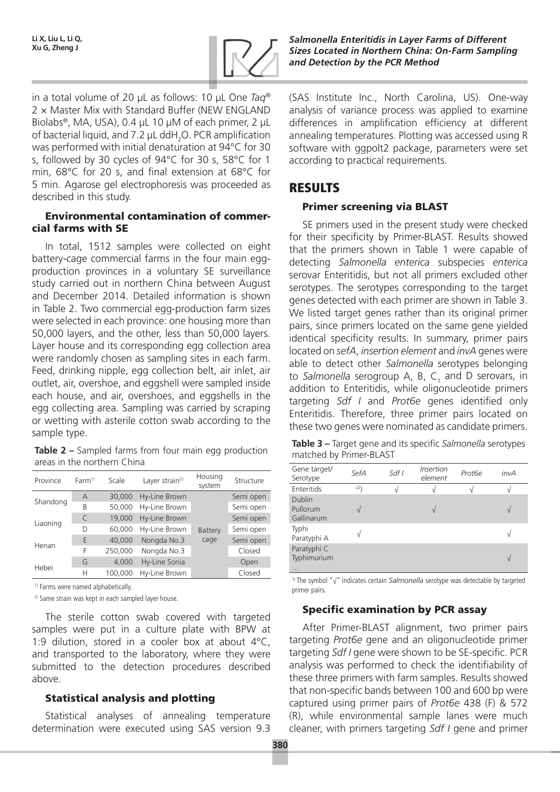

in a total volume of 20 μL as follows: 10 μL One *Taq*® 2 × Master Mix with Standard Buffer (NEW ENGLAND Biolabs®, MA, USA), 0.4 μL 10 μM of each primer, 2 μL of bacterial liquid, and 7.2  $\mu$ L ddH<sub>2</sub>O. PCR amplification was performed with initial denaturation at 94°C for 30 s, followed by 30 cycles of 94°C for 30 s, 58°C for 1 min, 68°C for 20 s, and final extension at 68°C for 5 min. Agarose gel electrophoresis was proceeded as described in this study.

#### Environmental contamination of commercial farms with SE

In total, 1512 samples were collected on eight battery-cage commercial farms in the four main eggproduction provinces in a voluntary SE surveillance study carried out in northern China between August and December 2014. Detailed information is shown in Table 2. Two commercial egg-production farm sizes were selected in each province: one housing more than 50,000 layers, and the other, less than 50,000 layers. Layer house and its corresponding egg collection area were randomly chosen as sampling sites in each farm. Feed, drinking nipple, egg collection belt, air inlet, air outlet, air, overshoe, and eggshell were sampled inside each house, and air, overshoes, and eggshells in the egg collecting area. Sampling was carried by scraping or wetting with asterile cotton swab according to the sample type.

**Table 2 –** Sampled farms from four main egg production areas in the northern China

| Province | Farm <sup>1</sup> | Scale   | Layer strain <sup>2)</sup> | Housing<br>system | Structure |
|----------|-------------------|---------|----------------------------|-------------------|-----------|
| Shandong | A                 | 30,000  | Hy-Line Brown              |                   | Semi open |
|          | B                 | 50,000  | Hy-Line Brown              |                   | Semi open |
| Liaoning | $\subset$         | 19,000  | Hy-Line Brown              |                   | Semi open |
|          | D                 | 60.000  | Hy-Line Brown              | Battery           | Semi open |
|          | E                 | 40,000  | Nongda No.3                | cage              | Semi open |
| Henan    | F                 | 250,000 | Nongda No.3                |                   | Closed    |
| Hebei    | G                 | 4.000   | Hy-Line Sonia              |                   | Open      |
|          | Н                 | 100,000 | Hy-Line Brown              |                   | Closed    |

<sup>1)</sup> Farms were named alphabetically.

<sup>2)</sup> Same strain was kept in each sampled layer house.

The sterile cotton swab covered with targeted samples were put in a culture plate with BPW at 1:9 dilution, stored in a cooler box at about 4°C, and transported to the laboratory, where they were submitted to the detection procedures described above.

## Statistical analysis and plotting

Statistical analyses of annealing temperature determination were executed using SAS version 9.3 (SAS Institute Inc., North Carolina, US). One-way analysis of variance process was applied to examine differences in amplification efficiency at different annealing temperatures. Plotting was accessed using R software with ggpolt2 package, parameters were set according to practical requirements.

# Results

## Primer screening via BLAST

SE primers used in the present study were checked for their specificity by Primer-BLAST. Results showed that the primers shown in Table 1 were capable of detecting *Salmonella enterica* subspecies *enterica* serovar Enteritidis, but not all primers excluded other serotypes. The serotypes corresponding to the target genes detected with each primer are shown in Table 3. We listed target genes rather than its original primer pairs, since primers located on the same gene yielded identical specificity results. In summary, primer pairs located on *sefA*, *insertion element* and *invA* genes were able to detect other *Salmonella* serotypes belonging to Salmonella serogroup A, B, C<sub>1</sub> and D serovars, in addition to Enteritidis, while oligonucleotide primers targeting *Sdf I* and *Prot6e* genes identified only Enteritidis. Therefore, three primer pairs located on these two genes were nominated as candidate primers.

| Table 3 - Target gene and its specific Salmonella serotypes |
|-------------------------------------------------------------|
| matched by Primer-BLAST                                     |

| Gene target/<br>Serotype                | SefA       | Sdf I | <i><u><b>Insertion</b></u></i><br>element | Prot <sub>6e</sub> | invA          |
|-----------------------------------------|------------|-------|-------------------------------------------|--------------------|---------------|
| Enteritids                              | $\sqrt{2}$ |       |                                           |                    |               |
| <b>Dublin</b><br>Pullorum<br>Gallinarum |            |       |                                           |                    | $\mathcal{U}$ |
| Typhi<br>Paratyphi A                    |            |       |                                           |                    | V             |
| Paratyphi C<br>Typhimurium<br>$\cdots$  |            |       |                                           |                    | N             |

1) The symbol "√" indicates certain *Salmonella* serotype was detectable by targeted primer pairs.

### Specific examination by PCR assay

After Primer-BLAST alignment, two primer pairs targeting *Prot6e* gene and an oligonucleotide primer targeting *Sdf I* gene were shown to be SE-specific. PCR analysis was performed to check the identifiability of these three primers with farm samples. Results showed that non-specific bands between 100 and 600 bp were captured using primer pairs of *Prot6e* 438 (F) & 572 (R), while environmental sample lanes were much cleaner, with primers targeting *Sdf I* gene and primer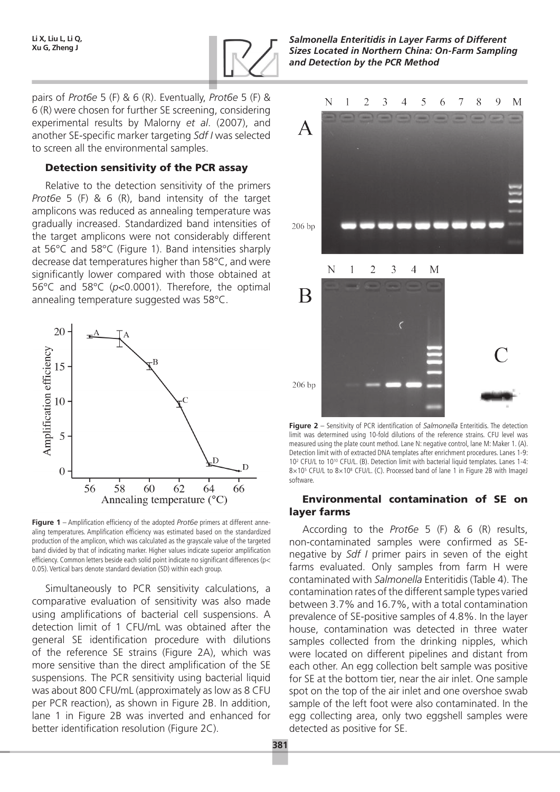

*Salmonella Enteritidis in Layer Farms of Different Sizes Located in Northern China: On-Farm Sampling and Detection by the PCR Method*

pairs of *Prot6e* 5 (F) & 6 (R). Eventually, *Prot6e* 5 (F) & 6 (R) were chosen for further SE screening, considering experimental results by Malorny *et al*. (2007), and another SE-specific marker targeting *Sdf I* was selected to screen all the environmental samples.

#### Detection sensitivity of the PCR assay

Relative to the detection sensitivity of the primers *Prot6e* 5 (F) & 6 (R), band intensity of the target amplicons was reduced as annealing temperature was gradually increased. Standardized band intensities of the target amplicons were not considerably different at 56°C and 58°C (Figure 1). Band intensities sharply decrease dat temperatures higher than 58°C, and were significantly lower compared with those obtained at 56°C and 58°C (*p*<0.0001). Therefore, the optimal annealing temperature suggested was 58°C.



**Figure 1** – Amplification efficiency of the adopted *Prot6e* primers at different annealing temperatures. Amplification efficiency was estimated based on the standardized production of the amplicon, which was calculated as the grayscale value of the targeted band divided by that of indicating marker. Higher values indicate superior amplification efficiency. Common letters beside each solid point indicate no significant differences (p< 0.05). Vertical bars denote standard deviation (SD) within each group.

Simultaneously to PCR sensitivity calculations, a comparative evaluation of sensitivity was also made using amplifications of bacterial cell suspensions. A detection limit of 1 CFU/mL was obtained after the general SE identification procedure with dilutions of the reference SE strains (Figure 2A), which was more sensitive than the direct amplification of the SE suspensions. The PCR sensitivity using bacterial liquid was about 800 CFU/mL (approximately as low as 8 CFU per PCR reaction), as shown in Figure 2B. In addition, lane 1 in Figure 2B was inverted and enhanced for better identification resolution (Figure 2C).



**Figure 2** – Sensitivity of PCR identification of *Salmonella* Enteritidis. The detection limit was determined using 10-fold dilutions of the reference strains. CFU level was measured using the plate count method. Lane N: negative control, lane M: Maker 1. (A). Detection limit with of extracted DNA templates after enrichment procedures. Lanes 1-9: 102 CFU/L to 1010 CFU/L. (B). Detection limit with bacterial liquid templates. Lanes 1-4:  $8 \times 10^5$  CFU/L to  $8 \times 10^8$  CFU/L. (C). Processed band of lane 1 in Figure 2B with ImageJ software.

#### Environmental contamination of SE on layer farms

According to the *Prot6e* 5 (F) & 6 (R) results, non-contaminated samples were confirmed as SEnegative by *Sdf I* primer pairs in seven of the eight farms evaluated. Only samples from farm H were contaminated with *Salmonella* Enteritidis (Table 4). The contamination rates of the different sample types varied between 3.7% and 16.7%, with a total contamination prevalence of SE-positive samples of 4.8%. In the layer house, contamination was detected in three water samples collected from the drinking nipples, which were located on different pipelines and distant from each other. An egg collection belt sample was positive for SE at the bottom tier, near the air inlet. One sample spot on the top of the air inlet and one overshoe swab sample of the left foot were also contaminated. In the egg collecting area, only two eggshell samples were detected as positive for SE.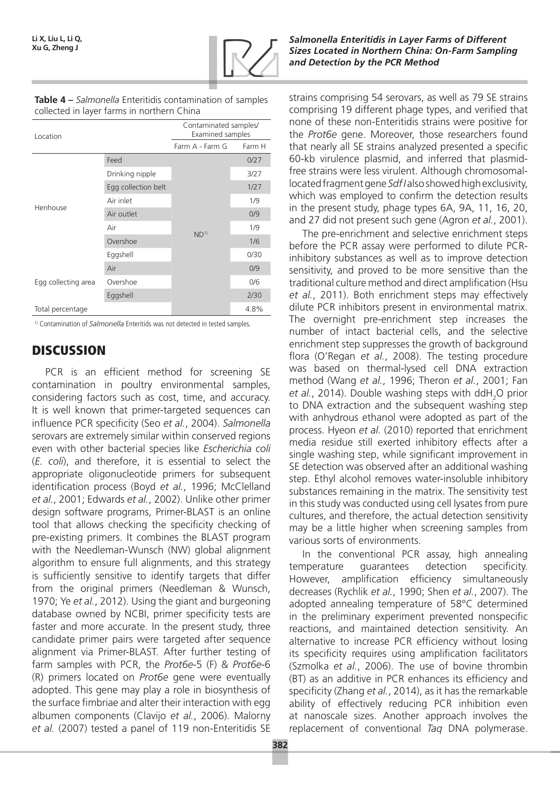

| Table 4 – Salmonella Enteritidis contamination of samples |
|-----------------------------------------------------------|
| collected in layer farms in northern China                |

| Location            |                     | Contaminated samples/<br>Examined samples |        |  |
|---------------------|---------------------|-------------------------------------------|--------|--|
|                     |                     | Farm A - Farm G                           | Farm H |  |
|                     | Feed                |                                           | 0/27   |  |
|                     | Drinking nipple     | ND <sup>1</sup>                           | 3/27   |  |
|                     | Egg collection belt |                                           | 1/27   |  |
| Henhouse            | Air inlet           |                                           | 1/9    |  |
|                     | Air outlet          |                                           | 0/9    |  |
|                     | Air                 |                                           | 1/9    |  |
|                     | Overshoe            |                                           | 1/6    |  |
|                     | Eggshell            |                                           | 0/30   |  |
|                     | Air                 |                                           | 0/9    |  |
| Egg collecting area | Overshoe            |                                           | 0/6    |  |
|                     | Eggshell            |                                           | 2/30   |  |
| Total percentage    |                     |                                           | 4.8%   |  |

<sup>1)</sup> Contamination of *Salmonella* Enteritids was not detected in tested samples.

# **DISCUSSION**

PCR is an efficient method for screening SE contamination in poultry environmental samples, considering factors such as cost, time, and accuracy. It is well known that primer-targeted sequences can influence PCR specificity (Seo *et al.*, 2004). *Salmonella* serovars are extremely similar within conserved regions even with other bacterial species like *Escherichia coli* (*E. coli*), and therefore, it is essential to select the appropriate oligonucleotide primers for subsequent identification process (Boyd *et al.*, 1996; McClelland *et al.*, 2001; Edwards *et al.*, 2002). Unlike other primer design software programs, Primer-BLAST is an online tool that allows checking the specificity checking of pre-existing primers. It combines the BLAST program with the Needleman-Wunsch (NW) global alignment algorithm to ensure full alignments, and this strategy is sufficiently sensitive to identify targets that differ from the original primers (Needleman & Wunsch, 1970; Ye *et al.*, 2012). Using the giant and burgeoning database owned by NCBI, primer specificity tests are faster and more accurate. In the present study, three candidate primer pairs were targeted after sequence alignment via Primer-BLAST. After further testing of farm samples with PCR, the *Prot6e*-5 (F) & *Prot6e*-6 (R) primers located on *Prot6e* gene were eventually adopted. This gene may play a role in biosynthesis of the surface fimbriae and alter their interaction with egg albumen components (Clavijo *et al.*, 2006). Malorny *et al.* (2007) tested a panel of 119 non-Enteritidis SE

strains comprising 54 serovars, as well as 79 SE strains comprising 19 different phage types, and verified that none of these non-Enteritidis strains were positive for the *Prot6e* gene. Moreover, those researchers found that nearly all SE strains analyzed presented a specific 60-kb virulence plasmid, and inferred that plasmidfree strains were less virulent. Although chromosomallocated fragment gene *Sdf I* also showed high exclusivity, which was employed to confirm the detection results in the present study, phage types 6A, 9A, 11, 16, 20, and 27 did not present such gene (Agron *et al.*, 2001).

The pre-enrichment and selective enrichment steps before the PCR assay were performed to dilute PCRinhibitory substances as well as to improve detection sensitivity, and proved to be more sensitive than the traditional culture method and direct amplification (Hsu *et al.*, 2011). Both enrichment steps may effectively dilute PCR inhibitors present in environmental matrix. The overnight pre-enrichment step increases the number of intact bacterial cells, and the selective enrichment step suppresses the growth of background flora (O'Regan *et al.*, 2008). The testing procedure was based on thermal-lysed cell DNA extraction method (Wang *et al.*, 1996; Theron *et al.*, 2001; Fan et al., 2014). Double washing steps with ddH<sub>2</sub>O prior to DNA extraction and the subsequent washing step with anhydrous ethanol were adopted as part of the process. Hyeon *et al.* (2010) reported that enrichment media residue still exerted inhibitory effects after a single washing step, while significant improvement in SE detection was observed after an additional washing step. Ethyl alcohol removes water-insoluble inhibitory substances remaining in the matrix. The sensitivity test in this study was conducted using cell lysates from pure cultures, and therefore, the actual detection sensitivity may be a little higher when screening samples from various sorts of environments.

In the conventional PCR assay, high annealing temperature guarantees detection specificity. However, amplification efficiency simultaneously decreases (Rychlik *et al.*, 1990; Shen *et al.*, 2007). The adopted annealing temperature of 58°C determined in the preliminary experiment prevented nonspecific reactions, and maintained detection sensitivity. An alternative to increase PCR efficiency without losing its specificity requires using amplification facilitators (Szmolka *et al.*, 2006). The use of bovine thrombin (BT) as an additive in PCR enhances its efficiency and specificity (Zhang *et al.*, 2014), as it has the remarkable ability of effectively reducing PCR inhibition even at nanoscale sizes. Another approach involves the replacement of conventional *Taq* DNA polymerase.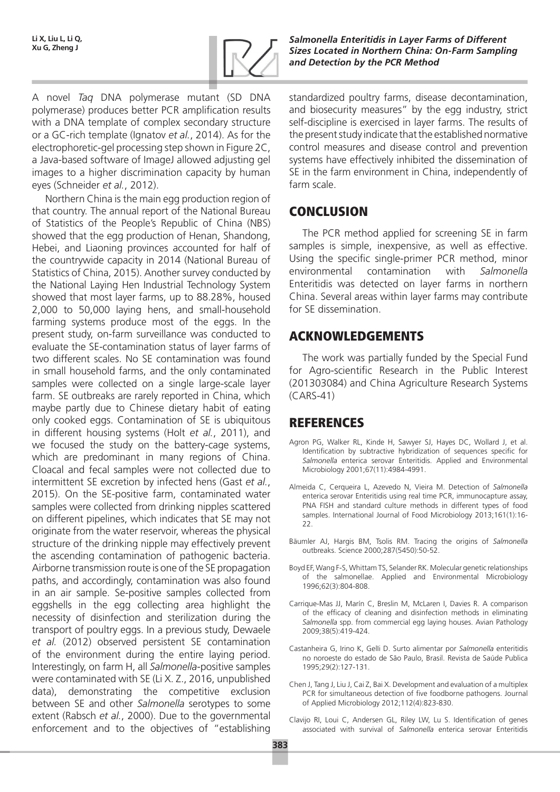

A novel *Taq* DNA polymerase mutant (SD DNA polymerase) produces better PCR amplification results with a DNA template of complex secondary structure or a GC-rich template (Ignatov *et al.*, 2014). As for the electrophoretic-gel processing step shown in Figure 2C, a Java-based software of ImageJ allowed adjusting gel images to a higher discrimination capacity by human eyes (Schneider *et al.*, 2012).

Northern China is the main egg production region of that country. The annual report of the National Bureau of Statistics of the People's Republic of China (NBS) showed that the egg production of Henan, Shandong, Hebei, and Liaoning provinces accounted for half of the countrywide capacity in 2014 (National Bureau of Statistics of China, 2015). Another survey conducted by the National Laying Hen Industrial Technology System showed that most layer farms, up to 88.28%, housed 2,000 to 50,000 laying hens, and small-household farming systems produce most of the eggs. In the present study, on-farm surveillance was conducted to evaluate the SE-contamination status of layer farms of two different scales. No SE contamination was found in small household farms, and the only contaminated samples were collected on a single large-scale layer farm. SE outbreaks are rarely reported in China, which maybe partly due to Chinese dietary habit of eating only cooked eggs. Contamination of SE is ubiquitous in different housing systems (Holt *et al.*, 2011), and we focused the study on the battery-cage systems, which are predominant in many regions of China. Cloacal and fecal samples were not collected due to intermittent SE excretion by infected hens (Gast *et al.*, 2015). On the SE-positive farm, contaminated water samples were collected from drinking nipples scattered on different pipelines, which indicates that SE may not originate from the water reservoir, whereas the physical structure of the drinking nipple may effectively prevent the ascending contamination of pathogenic bacteria. Airborne transmission route is one of the SE propagation paths, and accordingly, contamination was also found in an air sample. Se-positive samples collected from eggshells in the egg collecting area highlight the necessity of disinfection and sterilization during the transport of poultry eggs. In a previous study, Dewaele *et al.* (2012) observed persistent SE contamination of the environment during the entire laying period. Interestingly, on farm H, all *Salmonella*-positive samples were contaminated with SE (Li X. Z., 2016, unpublished data), demonstrating the competitive exclusion between SE and other *Salmonella* serotypes to some extent (Rabsch *et al.*, 2000). Due to the governmental enforcement and to the objectives of "establishing

standardized poultry farms, disease decontamination, and biosecurity measures" by the egg industry, strict self-discipline is exercised in layer farms. The results of the present study indicate that the established normative control measures and disease control and prevention systems have effectively inhibited the dissemination of SE in the farm environment in China, independently of farm scale.

# **CONCLUSION**

The PCR method applied for screening SE in farm samples is simple, inexpensive, as well as effective. Using the specific single-primer PCR method, minor environmental contamination with *Salmonella* Enteritidis was detected on layer farms in northern China. Several areas within layer farms may contribute for SE dissemination.

# Acknowledgements

The work was partially funded by the Special Fund for Agro-scientific Research in the Public Interest (201303084) and China Agriculture Research Systems (CARS-41)

# **REFERENCES**

- Agron PG, Walker RL, Kinde H, Sawyer SJ, Hayes DC, Wollard J, et al. Identification by subtractive hybridization of sequences specific for *Salmonella* enterica serovar Enteritidis. Applied and Environmental Microbiology 2001;67(11):4984-4991.
- Almeida C, Cerqueira L, Azevedo N, Vieira M. Detection of *Salmonella* enterica serovar Enteritidis using real time PCR, immunocapture assay, PNA FISH and standard culture methods in different types of food samples. International Journal of Food Microbiology 2013;161(1):16- 22.
- Bäumler AJ, Hargis BM, Tsolis RM. Tracing the origins of *Salmonella* outbreaks. Science 2000;287(5450):50-52.
- Boyd EF, Wang F-S, Whittam TS, Selander RK. Molecular genetic relationships of the salmonellae. Applied and Environmental Microbiology 1996;62(3):804-808.
- Carrique-Mas JJ, Marín C, Breslin M, McLaren I, Davies R. A comparison of the efficacy of cleaning and disinfection methods in eliminating *Salmonella* spp. from commercial egg laying houses. Avian Pathology 2009;38(5):419-424.
- Castanheira G, Irino K, GelIi D. Surto alimentar por *Salmonella* enteritidis no noroeste do estado de São Paulo, Brasil. Revista de Saúde Publica 1995;29(2):127-131.
- Chen J, Tang J, Liu J, Cai Z, Bai X. Development and evaluation of a multiplex PCR for simultaneous detection of five foodborne pathogens. Journal of Applied Microbiology 2012;112(4):823-830.
- Clavijo RI, Loui C, Andersen GL, Riley LW, Lu S. Identification of genes associated with survival of *Salmonella* enterica serovar Enteritidis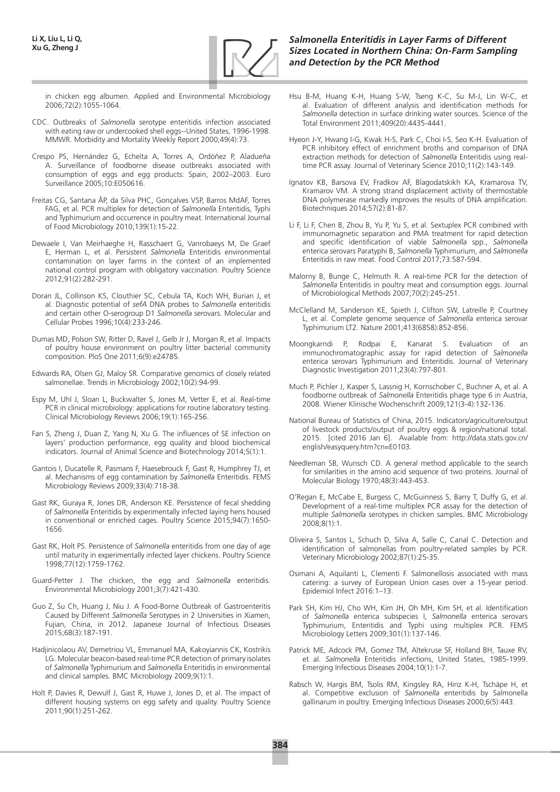

in chicken egg albumen. Applied and Environmental Microbiology 2006;72(2):1055-1064.

- CDC. Outbreaks of *Salmonella* serotype enteritidis infection associated with eating raw or undercooked shell eggs--United States, 1996-1998. MMWR. Morbidity and Mortality Weekly Report 2000;49(4):73.
- Crespo PS, Hernández G, Echeíta A, Torres A, Ordóñez P, Aladueña A. Surveillance of foodborne disease outbreaks associated with consumption of eggs and egg products: Spain, 2002–2003. Euro Surveillance 2005;10:E050616.
- Freitas CG, Santana ÂP, da Silva PHC, Gonçalves VSP, Barros MdAF, Torres FAG, et al. PCR multiplex for detection of *Salmonella* Enteritidis, Typhi and Typhimurium and occurrence in poultry meat. International Journal of Food Microbiology 2010;139(1):15-22.
- Dewaele I, Van Meirhaeghe H, Rasschaert G, Vanrobaeys M, De Graef E, Herman L, et al. Persistent *Salmonella* Enteritidis environmental contamination on layer farms in the context of an implemented national control program with obligatory vaccination. Poultry Science 2012;91(2):282-291.
- Doran JL, Collinson KS, Clouthier SC, Cebula TA, Koch WH, Burian J, et al. Diagnostic potential of *sefA* DNA probes to *Salmonella* enteritidis and certain other O-serogroup D1 *Salmonella* serovars. Molecular and Cellular Probes 1996;10(4):233-246.
- Dumas MD, Polson SW, Ritter D, Ravel J, Gelb Jr J, Morgan R, et al. Impacts of poultry house environment on poultry litter bacterial community composition. PloS One 2011;6(9):e24785.
- Edwards RA, Olsen GJ, Maloy SR. Comparative genomics of closely related salmonellae. Trends in Microbiology 2002;10(2):94-99.
- Espy M, Uhl J, Sloan L, Buckwalter S, Jones M, Vetter E, et al. Real-time PCR in clinical microbiology: applications for routine laboratory testing. Clinical Microbiology Reviews 2006;19(1):165-256.
- Fan S, Zheng J, Duan Z, Yang N, Xu G. The influences of SE infection on layers' production performance, egg quality and blood biochemical indicators. Journal of Animal Science and Biotechnology 2014;5(1):1.
- Gantois I, Ducatelle R, Pasmans F, Haesebrouck F, Gast R, Humphrey TJ, et al. Mechanisms of egg contamination by *Salmonella* Enteritidis. FEMS Microbiology Reviews 2009;33(4):718-38.
- Gast RK, Guraya R, Jones DR, Anderson KE. Persistence of fecal shedding of *Salmonella* Enteritidis by experimentally infected laying hens housed in conventional or enriched cages. Poultry Science 2015;94(7):1650- 1656.
- Gast RK, Holt PS. Persistence of *Salmonella* enteritidis from one day of age until maturity in experimentally infected layer chickens. Poultry Science 1998;77(12):1759-1762.
- Guard-Petter J. The chicken, the egg and *Salmonella* enteritidis. Environmental Microbiology 2001;3(7):421-430.
- Guo Z, Su Ch, Huang J, Niu J. A Food-Borne Outbreak of Gastroenteritis Caused by Different *Salmonella* Serotypes in 2 Universities in Xiamen, Fujian, China, in 2012. Japanese Journal of Infectious Diseases 2015;68(3):187-191.
- Hadjinicolaou AV, Demetriou VL, Emmanuel MA, Kakoyiannis CK, Kostrikis LG. Molecular beacon-based real-time PCR detection of primary isolates of *Salmonella* Typhimurium and *Salmonella* Enteritidis in environmental and clinical samples. BMC Microbiology 2009;9(1):1.
- Holt P, Davies R, Dewulf J, Gast R, Huwe J, Jones D, et al. The impact of different housing systems on egg safety and quality. Poultry Science 2011;90(1):251-262.

#### *Salmonella Enteritidis in Layer Farms of Different Sizes Located in Northern China: On-Farm Sampling and Detection by the PCR Method*

- Hsu B-M, Huang K-H, Huang S-W, Tseng K-C, Su M-J, Lin W-C, et al. Evaluation of different analysis and identification methods for *Salmonella* detection in surface drinking water sources. Science of the Total Environment 2011;409(20):4435-4441.
- Hyeon J-Y, Hwang I-G, Kwak H-S, Park C, Choi I-S, Seo K-H. Evaluation of PCR inhibitory effect of enrichment broths and comparison of DNA extraction methods for detection of *Salmonella* Enteritidis using realtime PCR assay. Journal of Veterinary Science 2010;11(2):143-149.
- Ignatov KB, Barsova EV, Fradkov AF, Blagodatskikh KA, Kramarova TV, Kramarov VM. A strong strand displacement activity of thermostable DNA polymerase markedly improves the results of DNA amplification. Biotechniques 2014;57(2):81-87.
- Li F, Li F, Chen B, Zhou B, Yu P, Yu S, et al. Sextuplex PCR combined with immunomagnetic separation and PMA treatment for rapid detection and specific identification of viable *Salmonella* spp., *Salmonella* enterica serovars Paratyphi B, *Salmonella* Typhimurium, and *Salmonella* Enteritidis in raw meat. Food Control 2017;73:587-594.
- Malorny B, Bunge C, Helmuth R. A real-time PCR for the detection of *Salmonella* Enteritidis in poultry meat and consumption eggs. Journal of Microbiological Methods 2007;70(2):245-251.
- McClelland M, Sanderson KE, Spieth J, Clifton SW, Latreille P, Courtney L, et al. Complete genome sequence of *Salmonella* enterica serovar Typhimurium LT2. Nature 2001;413(6858):852-856.
- Moongkarndi P, Rodpai E, Kanarat S. Evaluation of an immunochromatographic assay for rapid detection of *Salmonella* enterica serovars Typhimurium and Enteritidis. Journal of Veterinary Diagnostic Investigation 2011;23(4):797-801.
- Much P, Pichler J, Kasper S, Lassnig H, Kornschober C, Buchner A, et al. A foodborne outbreak of *Salmonella* Enteritidis phage type 6 in Austria, 2008. Wiener Klinische Wochenschrift 2009;121(3-4):132-136.
- National Bureau of Statistics of China, 2015. Indicators/agriculture/output of livestock products/output of poultry eggs & region/national total. 2015. [cited 2016 Jan 6]. Available from: http://data.stats.gov.cn/ english/easyquery.htm?cn=E0103.
- Needleman SB, Wunsch CD. A general method applicable to the search for similarities in the amino acid sequence of two proteins. Journal of Molecular Biology 1970;48(3):443-453.
- O'Regan E, McCabe E, Burgess C, McGuinness S, Barry T, Duffy G, et al. Development of a real-time multiplex PCR assay for the detection of multiple *Salmonella* serotypes in chicken samples. BMC Microbiology 2008;8(1):1.
- Oliveira S, Santos L, Schuch D, Silva A, Salle C, Canal C. Detection and identification of salmonellas from poultry-related samples by PCR. Veterinary Microbiology 2002;87(1):25-35.
- Osimani A, Aquilanti L, Clementi F. Salmonellosis associated with mass catering: a survey of European Union cases over a 15-year period. Epidemiol Infect 2016:1–13.
- Park SH, Kim HJ, Cho WH, Kim JH, Oh MH, Kim SH, et al. Identification of *Salmonella* enterica subspecies I, *Salmonella* enterica serovars Typhimurium, Enteritidis and Typhi using multiplex PCR. FEMS Microbiology Letters 2009;301(1):137-146.
- Patrick ME, Adcock PM, Gomez TM, Altekruse SF, Holland BH, Tauxe RV, et al. *Salmonella* Enteritidis infections, United States, 1985-1999. Emerging Infectious Diseases 2004;10(1):1-7.
- Rabsch W, Hargis BM, Tsolis RM, Kingsley RA, Hinz K-H, Tschäpe H, et al. Competitive exclusion of *Salmonella* enteritidis by Salmonella gallinarum in poultry. Emerging Infectious Diseases 2000;6(5):443.